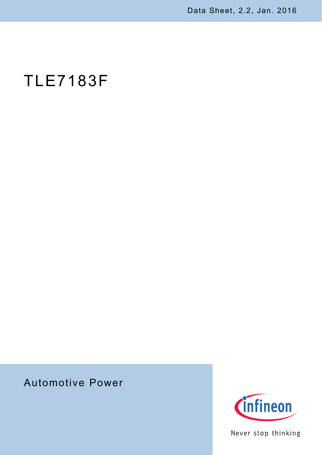Data Sheet, 2.2, Jan. 2016

# TLE7183F

# Automotive Power



Never stop thinking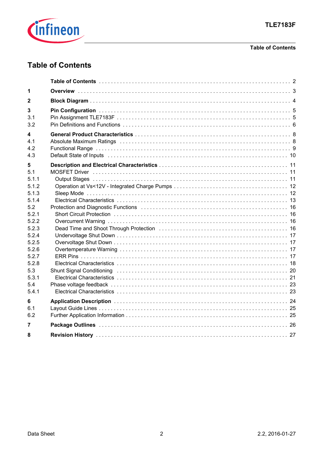

## **Table of Contents**

# <span id="page-1-0"></span>**Table of Contents**

| 1                                                                                                                                                           |  |
|-------------------------------------------------------------------------------------------------------------------------------------------------------------|--|
| 2                                                                                                                                                           |  |
| 3<br>3.1<br>3.2                                                                                                                                             |  |
| 4<br>4.1<br>4.2<br>4.3                                                                                                                                      |  |
| 5<br>5.1<br>5.1.1<br>5.1.2<br>5.1.3<br>5.1.4<br>5.2<br>5.2.1<br>5.2.2<br>5.2.3<br>5.2.4<br>5.2.5<br>5.2.6<br>5.2.7<br>5.2.8<br>5.3<br>5.3.1<br>5.4<br>5.4.1 |  |
| 6<br>6.1<br>6.2                                                                                                                                             |  |
| 7                                                                                                                                                           |  |
| 8                                                                                                                                                           |  |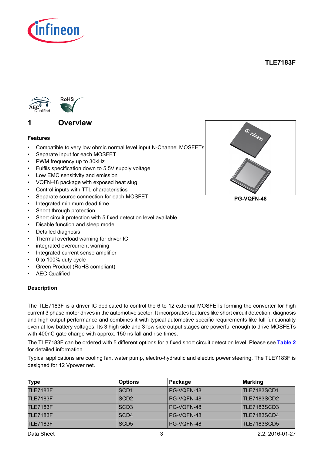

**TLE7183F**



## <span id="page-2-1"></span><span id="page-2-0"></span>**1 Overview**

#### **Features**

- Compatible to very low ohmic normal level input N-Channel MOSFETs
- Separate input for each MOSFET
- PWM frequency up to 30kHz
- Fulfils specification down to 5.5V supply voltage
- Low EMC sensitivity and emission
- VQFN-48 package with exposed heat slug
- Control inputs with TTL characteristics
- Separate source connection for each MOSFET
- Integrated minimum dead time
- Shoot through protection
- Short circuit protection with 5 fixed detection level available
- Disable function and sleep mode
- Detailed diagnosis
- Thermal overload warning for driver IC
- integrated overcurrent warning
- Integrated current sense amplifier
- 0 to 100% duty cycle
- Green Product (RoHS compliant)
- **AEC Qualified**

#### **Description**

The TLE7183F is a driver IC dedicated to control the 6 to 12 external MOSFETs forming the converter for high current 3 phase motor drives in the automotive sector. It incorporates features like short circuit detection, diagnosis and high output performance and combines it with typical automotive specific requirements like full functionality even at low battery voltages. Its 3 high side and 3 low side output stages are powerful enough to drive MOSFETs with 400nC gate charge with approx. 150 ns fall and rise times.

The TLE7183F can be ordered with 5 different options for a fixed short circuit detection level. Please see **[Table 2](#page-15-4)** for detailed information.

Typical applications are cooling fan, water pump, electro-hydraulic and electric power steering. The TLE7183F is designed for 12 Vpower net.

| <b>Type</b>     | <b>Options</b>   | Package    | <b>Marking</b>     |
|-----------------|------------------|------------|--------------------|
| <b>TLE7183F</b> | SCD1             | PG-VQFN-48 | TLE7183SCD1        |
| <b>TLE7183F</b> | SCD <sub>2</sub> | PG-VQFN-48 | TLE7183SCD2        |
| <b>TLE7183F</b> | SCD3             | PG-VQFN-48 | <b>TLE7183SCD3</b> |
| <b>TLE7183F</b> | SCD4             | PG-VQFN-48 | <b>TLE7183SCD4</b> |
| <b>TLE7183F</b> | SCD <sub>5</sub> | PG-VQFN-48 | <b>TLE7183SCD5</b> |



**PG-VQFN-48**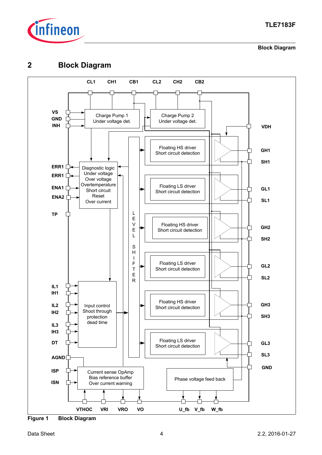

**Block Diagram**

# <span id="page-3-0"></span>**2 Block Diagram**



**Figure 1 Block Diagram**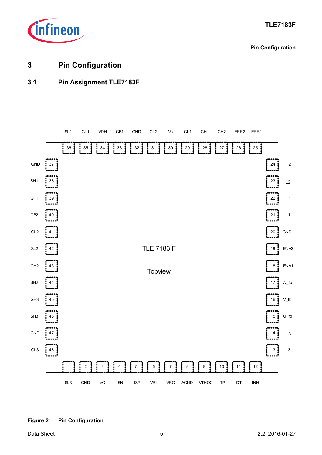

**Pin Configuration**

# <span id="page-4-0"></span>**3 Pin Configuration**

## <span id="page-4-1"></span>**3.1 Pin Assignment TLE7183F**



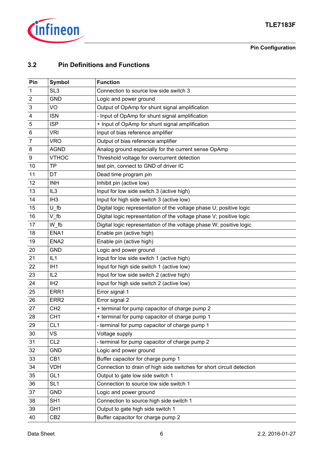

## **Pin Configuration**

## <span id="page-5-0"></span>**3.2 Pin Definitions and Functions**

| Pin                       | <b>Symbol</b>    | <b>Function</b>                                                       |
|---------------------------|------------------|-----------------------------------------------------------------------|
| 1                         | SL <sub>3</sub>  | Connection to source low side switch 3                                |
| $\boldsymbol{2}$          | <b>GND</b>       | Logic and power ground                                                |
| $\ensuremath{\mathsf{3}}$ | VO               | Output of OpAmp for shunt signal amplification                        |
| $\overline{\mathbf{4}}$   | <b>ISN</b>       | - Input of OpAmp for shunt signal amplification                       |
| 5                         | <b>ISP</b>       | + Input of OpAmp for shunt signal amplification                       |
| $\,6$                     | <b>VRI</b>       | Input of bias reference amplifier                                     |
| $\boldsymbol{7}$          | <b>VRO</b>       | Output of bias reference amplifier                                    |
| $\bf 8$                   | <b>AGND</b>      | Analog ground especially for the current sense OpAmp                  |
| 9                         | <b>VTHOC</b>     | Threshold voltage for overcurrent detection                           |
| 10                        | <b>TP</b>        | test pin, connect to GND of driver IC                                 |
| 11                        | DT               | Dead time program pin                                                 |
| 12                        | <b>INH</b>       | Inhibit pin (active low)                                              |
| 13                        | IL <sub>3</sub>  | Input for low side switch 3 (active high)                             |
| 14                        | IH <sub>3</sub>  | Input for high side switch 3 (active low)                             |
| 15                        | $U$ _fb          | Digital logic representation of the voltage phase U; positive logic   |
| 16                        | $V$ _fb          | Digital logic representation of the voltage phase V; positive logic   |
| 17                        | W_fb             | Digital logic representation of the voltage phase W; positive logic   |
| 18                        | ENA1             | Enable pin (active high)                                              |
| 19                        | ENA <sub>2</sub> | Enable pin (active high)                                              |
| 20                        | <b>GND</b>       | Logic and power ground                                                |
| 21                        | IL1              | Input for low side switch 1 (active high)                             |
| 22                        | IH <sub>1</sub>  | Input for high side switch 1 (active low)                             |
| 23                        | IL <sub>2</sub>  | Input for low side switch 2 (active high)                             |
| 24                        | IH <sub>2</sub>  | Input for high side switch 2 (active low)                             |
| 25                        | ERR1             | Error signal 1                                                        |
| 26                        | ERR <sub>2</sub> | Error signal 2                                                        |
| 27                        | CH <sub>2</sub>  | + terminal for pump capacitor of charge pump 2                        |
| 28                        | CH <sub>1</sub>  | + terminal for pump capacitor of charge pump 1                        |
| 29                        | CL <sub>1</sub>  | - terminal for pump capacitor of charge pump 1                        |
| 30                        | <b>VS</b>        | Voltage supply                                                        |
| 31                        | CL <sub>2</sub>  | - terminal for pump capacitor of charge pump 2                        |
| 32                        | <b>GND</b>       | Logic and power ground                                                |
| 33                        | CB1              | Buffer capacitor for charge pump 1                                    |
| 34                        | <b>VDH</b>       | Connection to drain of high side switches for short circuit detection |
| 35                        | GL <sub>1</sub>  | Output to gate low side switch 1                                      |
| 36                        | SL <sub>1</sub>  | Connection to source low side switch 1                                |
| 37                        | <b>GND</b>       | Logic and power ground                                                |
| 38                        | SH <sub>1</sub>  | Connection to source high side switch 1                               |
| 39                        | GH <sub>1</sub>  | Output to gate high side switch 1                                     |
| 40                        | CB <sub>2</sub>  | Buffer capacitor for charge pump 2                                    |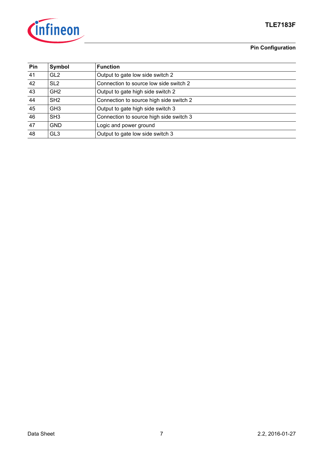

## **TLE7183F**

## **Pin Configuration**

| Pin | Symbol          | <b>Function</b>                         |
|-----|-----------------|-----------------------------------------|
| 41  | GL <sub>2</sub> | Output to gate low side switch 2        |
| 42  | SL <sub>2</sub> | Connection to source low side switch 2  |
| 43  | GH <sub>2</sub> | Output to gate high side switch 2       |
| 44  | SH <sub>2</sub> | Connection to source high side switch 2 |
| 45  | GH <sub>3</sub> | Output to gate high side switch 3       |
| 46  | SH <sub>3</sub> | Connection to source high side switch 3 |
| 47  | <b>GND</b>      | Logic and power ground                  |
| 48  | GL <sub>3</sub> | Output to gate low side switch 3        |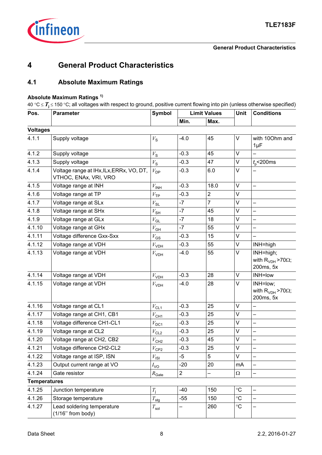

# <span id="page-7-0"></span>**4 General Product Characteristics**

## <span id="page-7-2"></span><span id="page-7-1"></span>**4.1 Absolute Maximum Ratings**

## **Absolute Maximum Ratings 1)**

40 °C ≤ *T***<sup>j</sup>** ≤ 150 °C; all voltages with respect to ground, positive current flowing into pin (unless otherwise specified)

| Pos.                | <b>Parameter</b>                                                  | <b>Symbol</b>      | <b>Limit Values</b> |                | <b>Unit</b>     | <b>Conditions</b>                                       |
|---------------------|-------------------------------------------------------------------|--------------------|---------------------|----------------|-----------------|---------------------------------------------------------|
|                     |                                                                   |                    | Min.                | Max.           |                 |                                                         |
| <b>Voltages</b>     |                                                                   |                    |                     |                |                 |                                                         |
| 4.1.1               | Supply voltage                                                    | $V_{\rm S}$        | $-4.0$              | 45             | V               | with 100hm and<br>$1\mu F$                              |
| 4.1.2               | Supply voltage                                                    | $V_{\rm S}$        | $-0.3$              | 45             | $\vee$          |                                                         |
| 4.1.3               | Supply voltage                                                    | $V_{\rm S}$        | $-0.3$              | 47             | V               | $t_{0}$ <200ms                                          |
| 4.1.4               | Voltage range at IHx, ILx, ERRx, VO, DT,<br>VTHOC, ENAx, VRI, VRO | $V_{\text{DP}}$    | $-0.3$              | 6.0            | $\vee$          |                                                         |
| 4.1.5               | Voltage range at INH                                              | $V_{\mathsf{INH}}$ | $-0.3$              | 18.0           | V               | $\overline{\phantom{0}}$                                |
| 4.1.6               | Voltage range at TP                                               | $V_{\text{TP}}$    | $-0.3$              | $\overline{c}$ | V               |                                                         |
| 4.1.7               | Voltage range at SLx                                              | $V_{\text{SL}}$    | $-7$                | $\overline{7}$ | $\vee$          |                                                         |
| 4.1.8               | Voltage range at SHx                                              | $V_{\text{SH}}$    | $-7$                | 45             | $\vee$          |                                                         |
| 4.1.9               | Voltage range at GLx                                              | $V_{\mathsf{GL}}$  | $-7$                | 18             | $\vee$          | $\overline{\phantom{0}}$                                |
| 4.1.10              | Voltage range at GHx                                              | $V_{\mathsf{GH}}$  | $-7$                | 55             | V               |                                                         |
| 4.1.11              | Voltage difference Gxx-Sxx                                        | $V_{\text{GS}}$    | $-0.3$              | 15             | $\vee$          |                                                         |
| 4.1.12              | Voltage range at VDH                                              | $V_{\mathsf{VDH}}$ | $-0.3$              | 55             | V               | INH=high                                                |
| 4.1.13              | Voltage range at VDH                                              | $V_{VDH}$          | $-4.0$              | 55             | V               | INH=high;<br>with $R_{VDH}$ >70 $\Omega$ ;<br>200ms, 5x |
| 4.1.14              | Voltage range at VDH                                              | $V_{\mathsf{VDH}}$ | $-0.3$              | 28             | $\vee$          | INH=low                                                 |
| 4.1.15              | Voltage range at VDH                                              | $V_{VDH}$          | $-4.0$              | 28             | $\vee$          | INH=low;<br>with $R_{VDH}$ >70 $\Omega$ ;<br>200ms, 5x  |
| 4.1.16              | Voltage range at CL1                                              | $V_\mathsf{CL1}$   | $-0.3$              | 25             | V               | $\overline{\phantom{0}}$                                |
| 4.1.17              | Voltage range at CH1, CB1                                         | $V_{\mathsf{CH1}}$ | $-0.3$              | 25             | V               |                                                         |
| 4.1.18              | Voltage difference CH1-CL1                                        | $V_{\text{DC1}}$   | $-0.3$              | 25             | $\vee$          | $\overline{\phantom{0}}$                                |
| 4.1.19              | Voltage range at CL2                                              | $V_{CL2}$          | $-0.3$              | 25             | V               | $\overline{\phantom{0}}$                                |
| 4.1.20              | Voltage range at CH2, CB2                                         | $V_{\mathsf{CH2}}$ | $-0.3$              | 45             | V               |                                                         |
| 4.1.21              | Voltage difference CH2-CL2                                        | $V_{\text{CP2}}$   | $-0.3$              | 25             | V               | $\overline{\phantom{0}}$                                |
| 4.1.22              | Voltage range at ISP, ISN                                         | $V_{\text{ISI}}$   | $-5$                | 5              | $\vee$          |                                                         |
| 4.1.23              | Output current range at VO                                        | $I_{\text{VO}}$    | $-20$               | 20             | mA              |                                                         |
| 4.1.24              | Gate resistor                                                     | $R_{\text{Gate}}$  | $\overline{c}$      | —              | $\Omega$        |                                                         |
| <b>Temperatures</b> |                                                                   |                    |                     |                |                 |                                                         |
| 4.1.25              | Junction temperature                                              | $T_{\rm i}$        | $-40$               | 150            | $\rm ^{\circ}C$ |                                                         |
| 4.1.26              | Storage temperature                                               | $T_{\mathsf{stg}}$ | $-55$               | 150            | $\circ$ C       |                                                         |
| 4.1.27              | Lead soldering temperature<br>$(1/16"$ from body)                 | $T_{\mathsf{sol}}$ |                     | 260            | $\rm ^{\circ}C$ |                                                         |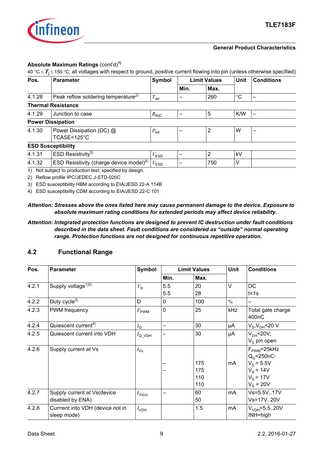

#### **General Product Characteristics**

#### **Absolute Maximum Ratings** (cont'd)**1)**

40 °C ≤ *T***<sup>j</sup>** ≤ 150 °C; all voltages with respect to ground, positive current flowing into pin (unless otherwise specified)

| Pos.   | <b>Parameter</b>                                    | Symbol            | <b>Limit Values</b> |      | <b>Unit</b>     | <b>Conditions</b> |
|--------|-----------------------------------------------------|-------------------|---------------------|------|-----------------|-------------------|
|        |                                                     |                   | Min.                | Max. |                 |                   |
| 4.1.28 | Peak reflow soldering temperature <sup>2)</sup>     | $T_{\text{ref}}$  |                     | 260  | $\rm ^{\circ}C$ |                   |
|        | <b>Thermal Resistance</b>                           |                   |                     |      |                 |                   |
| 4.1.29 | Junction to case                                    | $R_{\text{thiC}}$ |                     | 5    | K/W             |                   |
|        | <b>Power Dissipation</b>                            |                   |                     |      |                 |                   |
| 4.1.30 | Power Dissipation (DC) @<br>TCASE=125°C             | $P_{\text{tot}}$  |                     | 2    | W               |                   |
|        | <b>ESD Susceptibility</b>                           |                   |                     |      |                 |                   |
| 4.1.31 | ESD Resistivity <sup>3)</sup>                       | $V_{ESD}$         |                     | 2    | kV              |                   |
| 4.1.32 | ESD Resistivity (charge device model) <sup>4)</sup> | $V_{ESD}$         |                     | 750  | V               |                   |
|        |                                                     |                   |                     |      |                 |                   |

1) Not subject to production test, specified by design.

2) Reflow profile IPC/JEDEC J-STD-020C

3) ESD susceptibility HBM according to EIA/JESD 22-A 114B

4) ESD susceptibility CDM according to EIA/JESD 22-C 101

#### *Attention: Stresses above the ones listed here may cause permanent damage to the device. Exposure to absolute maximum rating conditions for extended periods may affect device reliability.*

#### *Attention: Integrated protection functions are designed to prevent IC destruction under fault conditions described in the data sheet. Fault conditions are considered as "outside" normal operating range. Protection functions are not designed for continuous repetitive operation.*

## <span id="page-8-0"></span>**4.2 Functional Range**

| Pos.  | <b>Parameter</b>                                | Symbol                        |             | <b>Limit Values</b> | <b>Unit</b> | <b>Conditions</b>                       |
|-------|-------------------------------------------------|-------------------------------|-------------|---------------------|-------------|-----------------------------------------|
|       |                                                 |                               | Min.        | Max.                |             |                                         |
| 4.2.1 | Supply voltage <sup>1)2)</sup>                  | $V_{\rm S}$                   | 5.5         | 20                  | V           | DC                                      |
|       |                                                 |                               | 5.5         | 28                  |             | t < 1s                                  |
| 4.2.2 | Duty cycle <sup>3)</sup>                        | D                             | 0           | 100                 | $\%$        |                                         |
| 4.2.3 | PWM frequency                                   | $F_{\rm PWM}$                 | $\mathbf 0$ | 25                  | kHz         | Total gate charge<br>400 <sub>n</sub> C |
| 4.2.4 | Quiescent current <sup>4)</sup>                 | $I_{\mathsf{Q}}$              | -           | 30                  | μA          | $V_S$ , $V_{DH}$ <20 V                  |
| 4.2.5 | Quiescent current into VDH                      | $I_{\mathsf{Q\_VDH}}$         | -           | 30                  | μA          | $VDH$ < 20V;                            |
|       |                                                 |                               |             |                     |             | $V_S$ pin open                          |
| 4.2.6 | Supply current at Vs                            | $I_{\mathsf{Vs}}$             |             |                     |             | $FPWM = 25kHz$                          |
|       |                                                 |                               |             |                     |             | $QG=250nC$ :                            |
|       |                                                 |                               |             | 175                 | mA          | $V_{\rm s} = 5.5V$                      |
|       |                                                 |                               |             | 175                 |             | $V_{\rm s}$ = 14V                       |
|       |                                                 |                               |             | 110                 |             | $V_s$ = 17V                             |
|       |                                                 |                               |             | 110                 |             | $V_s = 20V$                             |
| 4.2.7 | Supply current at Vs(device                     | $I_{\mathsf{Vs}(\mathsf{o})}$ |             | 60                  | mA          | Vs=5.5V17V                              |
|       | disabled by ENA)                                |                               |             | 50                  |             | Vs=17V20V                               |
| 4.2.8 | Currrent into VDH (device not in<br>sleep mode) | $I_{VDH}$                     |             | 1.5                 | mA          | $V_{VDH} = 5.5.20V$<br>INH=high         |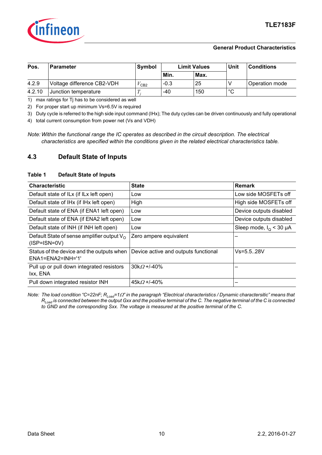

#### **General Product Characteristics**

| Pos.   | <b>Parameter</b>           | Symbol | <b>Limit Values</b> |      |             |                | Unit | <b>Conditions</b> |
|--------|----------------------------|--------|---------------------|------|-------------|----------------|------|-------------------|
|        |                            |        | Min.                | Max. |             |                |      |                   |
| 4.2.9  | Voltage difference CB2-VDH | CB2    | $-0.3$              | 25   |             | Operation mode |      |                   |
| 4.2.10 | Junction temperature       |        | -40                 | 150  | $\sim$<br>ັ |                |      |                   |

1) max ratings for Tj has to be considered as well

2) For proper start up minimum Vs=6.5V is required

3) Duty cycle is referred to the high side input command (IHx); The duty cycles can be driven continuously and fully operational

4) total current consumption from power net (Vs and VDH)

*Note: Within the functional range the IC operates as described in the circuit description. The electrical characteristics are specified within the conditions given in the related electrical characteristics table.*

## <span id="page-9-0"></span>**4.3 Default State of Inputs**

#### **Table 1 Default State of Inputs**

| <b>Characteristic</b>                                                  | <b>State</b>                         | <b>Remark</b>                    |
|------------------------------------------------------------------------|--------------------------------------|----------------------------------|
| Default state of ILx (if ILx left open)                                | Low                                  | Low side MOSFETs off             |
| Default state of IHx (if IHx left open)                                | High                                 | High side MOSFETs off            |
| Default state of ENA (if ENA1 left open)                               | Low                                  | Device outputs disabled          |
| Default state of ENA (if ENA2 left open)                               | Low                                  | Device outputs disabled          |
| Default state of INH (if INH left open)                                | Low                                  | Sleep mode, $I_{\Omega}$ < 30 µA |
| Default State of sense amplifier output $V_{\Omega}$<br>$(ISP=ISN=0V)$ | Zero ampere equivalent               |                                  |
| Status of the device and the outputs when<br>$ENA1=ENA2=INH=11$        | Device active and outputs functional | $Vs = 5.5.28V$                   |
| Pull up or pull down integrated resistors<br>Ixx, ENA                  | $30kQ + 40%$                         |                                  |
| Pull down integrated resistor INH                                      | $45kQ + 40%$                         |                                  |

*Note: The load condition "C=22nF; RLoad=1*Ω*" in the paragraph "Electrical characteristics / Dynamic charactersitic" means that RLoad is connected between the output Gxx and the positive terminal of the C. The negative terminal of the C is connected to GND and the corresponding Sxx. The voltage is measured at the positive terminal of the C.*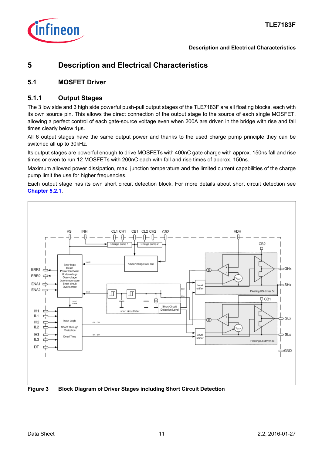

# <span id="page-10-0"></span>**5 Description and Electrical Characteristics**

## <span id="page-10-1"></span>**5.1 MOSFET Driver**

## <span id="page-10-2"></span>**5.1.1 Output Stages**

The 3 low side and 3 high side powerful push-pull output stages of the TLE7183F are all floating blocks, each with its own source pin. This allows the direct connection of the output stage to the source of each single MOSFET, allowing a perfect control of each gate-source voltage even when 200A are driven in the bridge with rise and fall times clearly below 1µs.

All 6 output stages have the same output power and thanks to the used charge pump principle they can be switched all up to 30kHz.

Its output stages are powerful enough to drive MOSFETs with 400nC gate charge with approx. 150ns fall and rise times or even to run 12 MOSFETs with 200nC each with fall and rise times of approx. 150ns.

Maximum allowed power dissipation, max. junction temperature and the limited current capabilities of the charge pump limit the use for higher frequencies.

Each output stage has its own short circuit detection block. For more details about short circuit detection see **[Chapter 5.2.1](#page-15-5)**.

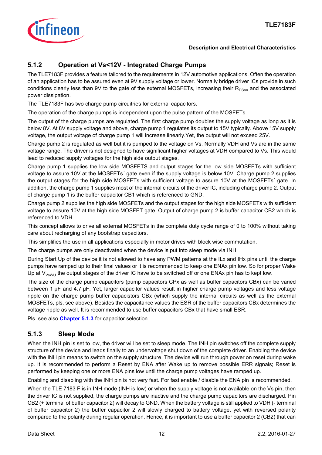

## <span id="page-11-0"></span>**5.1.2 Operation at Vs<12V - Integrated Charge Pumps**

The TLE7183F provides a feature tailored to the requirements in 12V automotive applications. Often the operation of an application has to be assured even at 9V supply voltage or lower. Normally bridge driver ICs provide in such conditions clearly less than 9V to the gate of the external MOSFETs, increasing their  $R_{DSon}$  and the associated power dissipation.

The TLE7183F has two charge pump circuitries for external capacitors.

The operation of the charge pumps is independent upon the pulse pattern of the MOSFETs.

The output of the charge pumps are regulated. The first charge pump doubles the supply voltage as long as it is below 8V. At 8V supply voltage and above, charge pump 1 regulates its output to 15V typically. Above 15V supply voltage, the output voltage of charge pump 1 will increase linearly.Yet, the output will not exceed 25V.

Charge pump 2 is regulated as well but it is pumped to the voltage on Vs. Normally VDH and Vs are in the same voltage range. The driver is not designed to have significant higher voltages at VDH compared to Vs. This would lead to reduced supply voltages for the high side output stages.

Charge pump 1 supplies the low side MOSFETS and output stages for the low side MOSFETs with sufficient voltage to assure 10V at the MOSFETs´ gate even if the supply voltage is below 10V. Charge pump 2 supplies the output stages for the high side MOSFETs with sufficient voltage to assure 10V at the MOSFETs´ gate. In addition, the charge pump 1 supplies most of the internal circuits of the driver IC, including charge pump 2. Output of charge pump 1 is the buffer capacitor CB1 which is referenced to GND.

Charge pump 2 supplies the high side MOSFETs and the output stages for the high side MOSFETs with sufficient voltage to assure 10V at the high side MOSFET gate. Output of charge pump 2 is buffer capacitor CB2 which is referenced to VDH.

This concept allows to drive all external MOSFETs in the complete duty cycle range of 0 to 100% without taking care about recharging of any bootstrap capacitors.

This simplifies the use in all applications especially in motor drives with block wise commutation.

The charge pumps are only deactivated when the device is put into sleep mode via INH.

During Start Up of the device it is not allowed to have any PWM patterns at the ILx and IHx pins until the charge pumps have ramped up to their final values or it is recommended to keep one ENAx pin low. So for proper Wake Up at  $V_{V}$ swu the output stages of the driver IC have to be switched off or one ENAx pin has to kept low.

The size of the charge pump capacitors (pump capacitors CPx as well as buffer capacitors CBx) can be varied between 1 µF and 4.7 µF. Yet, larger capacitor values result in higher charge pump voltages and less voltage ripple on the charge pump buffer capacistors CBx (which supply the internal circuits as well as the external MOSFETs, pls. see above). Besides the capacitance values the ESR of the buffer capacitors CBx determines the voltage ripple as well. It is recommended to use buffer capacitors CBx that have small ESR.

Pls. see also **[Chapter 5.1.3](#page-11-1)** for capacitor selection.

## <span id="page-11-1"></span>**5.1.3 Sleep Mode**

When the INH pin is set to low, the driver will be set to sleep mode. The INH pin switches off the complete supply structure of the device and leads finally to an undervoltage shut down of the complete driver. Enabling the device with the INH pin means to switch on the supply structure. The device will run through power on reset during wake up. It is recommended to perform a Reset by ENA after Wake up to remove possible ERR signals; Reset is performed by keeping one or more ENA pins low until the charge pump voltages have ramped up.

Enabling and disabling with the INH pin is not very fast. For fast enable / disable the ENA pin is recommended.

When the TLE 7183 F is in INH mode (INH is low) or when the supply voltage is not available on the Vs pin, then the driver IC is not supplied, the charge pumps are inactive and the charge pump capacitors are discharged. Pin CB2 (+ terminal of buffer capacitor 2) will decay to GND. When the battery voltage is still applied to VDH (- terminal of buffer capacitor 2) the buffer capacitor 2 will slowly charged to battery voltage, yet with reversed polarity compared to the polarity during regular operation. Hence, it is important to use a buffer capacitor 2 (CB2) that can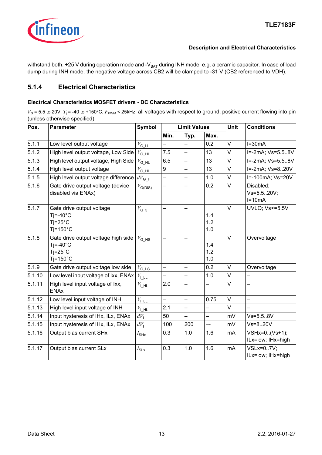

withstand both, +25 V during operation mode and - $V_{BAT}$  during INH mode, e.g. a ceramic capacitor. In case of load dump during INH mode, the negative voltage across CB2 will be clamped to -31 V (CB2 referenced to VDH).

## <span id="page-12-0"></span>**5.1.4 Electrical Characteristics**

#### **Electrical Characteristics MOSFET drivers - DC Characteristics**

| Pos.   | <b>Parameter</b>                                                                              | <b>Symbol</b>                                    | <b>Limit Values</b>      |                          |                          | <b>Unit</b> | <b>Conditions</b>                     |
|--------|-----------------------------------------------------------------------------------------------|--------------------------------------------------|--------------------------|--------------------------|--------------------------|-------------|---------------------------------------|
|        |                                                                                               |                                                  | Min.                     | Typ.                     | Max.                     |             |                                       |
| 5.1.1  | Low level output voltage                                                                      | $V_{\mathrm{G\_LL}}$                             |                          | —                        | 0.2                      | $\vee$      | $I=30mA$                              |
| 5.1.2  | High level output voltage, Low Side                                                           | $V_{\mathrm{G\_HL}}$                             | 7.5                      | $\overline{\phantom{0}}$ | 13                       | V           | I=-2mA; Vs=5.58V                      |
| 5.1.3  | High level output voltage, High Side                                                          | $V_{\mathsf{G\_HL}}$                             | 6.5                      | $\overline{\phantom{0}}$ | 13                       | V           | I=-2mA; Vs=5.58V                      |
| 5.1.4  | High level output voltage                                                                     | $V_{\mathsf{G\_HL}}$                             | 9                        |                          | 13                       | $\vee$      | I=-2mA; Vs=820V                       |
| 5.1.5  | High level output voltage difference                                                          | $dV_{\mathsf{G\_H}}$                             | $\overline{\phantom{0}}$ | —                        | 1.0                      | V           | I=-100mA; Vs=20V                      |
| 5.1.6  | Gate drive output voltage (device<br>disabled via ENAx)                                       | $V_{\text{G(DIS)}}$                              | —                        |                          | 0.2                      | V           | Disabled;<br>Vs=5.520V;<br>$I=10mA$   |
| 5.1.7  | Gate drive output voltage<br>$Ti = -40^{\circ}C$<br>$Ti=25^{\circ}C$<br>$Ti=150^{\circ}C$     | $V_{\mathsf{G\_5}}$                              |                          |                          | 1.4<br>1.2<br>1.0        | $\vee$      | <b>UVLO</b> ; Vs <= 5.5V              |
| 5.1.8  | Gate drive output voltage high side<br>$Tj = -40$ °C<br>$Ti=25^{\circ}C$<br>$Ti=150^{\circ}C$ | $V_{\text{G}_\text{LHS}}$                        | —                        | —                        | 1.4<br>1.2<br>1.0        | $\vee$      | Overvoltage                           |
| 5.1.9  | Gate drive output voltage low side                                                            | $V_{\text{G}_\text{LS}}$                         |                          |                          | 0.2                      | $\vee$      | Overvoltage                           |
| 5.1.10 | Low level input voltage of Ixx, ENAx                                                          | $V_{\perp\perp\perp}$                            | $\overline{\phantom{0}}$ | —                        | 1.0                      | V           | $\overline{\phantom{0}}$              |
| 5.1.11 | High level input voltage of lxx,<br><b>ENAx</b>                                               | $V_{\mathsf{L},\mathsf{HL}}$                     | 2.0                      | —                        | —                        | V           |                                       |
| 5.1.12 | Low level input voltage of INH                                                                | $V_{\mathsf{L}\underline{\mathsf{L}\mathsf{L}}}$ | $\overline{\phantom{0}}$ | $\overline{\phantom{0}}$ | 0.75                     | $\vee$      | $\overline{\phantom{0}}$              |
| 5.1.13 | High level input voltage of INH                                                               | $V_{\text{L}}$ $\underline{\rm HL}$              | 2.1                      | —                        | $\overline{\phantom{0}}$ | V           |                                       |
| 5.1.14 | Input hysteresis of IHx, ILx, ENAx                                                            | $dV_1$                                           | 50                       | $\overline{\phantom{0}}$ | —                        | mV          | $Vs = 5.5.8V$                         |
| 5.1.15 | Input hysteresis of IHx, ILx, ENAx                                                            | $dV_1$                                           | 100                      | 200                      | ——                       | mV          | $Vs = 820V$                           |
| 5.1.16 | Output bias current SHx                                                                       | $I_{\text{SHx}}$                                 | 0.3                      | 1.0                      | 1.6                      | mA          | VSHx=0(Vs+1);<br>ILx=low; IHx=high    |
| 5.1.17 | Output bias current SLx                                                                       | $I_{\text{SLx}}$                                 | 0.3                      | 1.0                      | 1.6                      | mA          | <b>VSLx=07V:</b><br>ILx=low; IHx=high |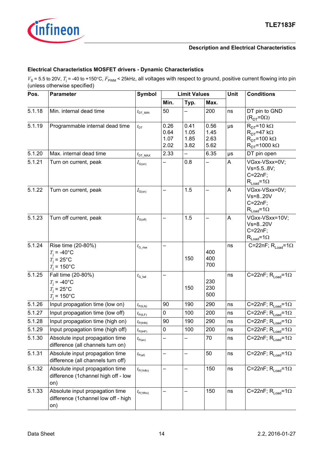

## **Electrical Characteristics MOSFET drivers - Dynamic Characteristics**

| Pos.   | <b>Parameter</b>                                                               | Symbol                                 |                              | <b>Limit Values</b>          |                              | Unit    | <b>Conditions</b>                                                                                           |  |
|--------|--------------------------------------------------------------------------------|----------------------------------------|------------------------------|------------------------------|------------------------------|---------|-------------------------------------------------------------------------------------------------------------|--|
|        |                                                                                |                                        | Min.                         | Typ.                         | Max.                         |         |                                                                                                             |  |
| 5.1.18 | Min. internal dead time                                                        | $t_{\text{DT\_MIN}}$                   | 50                           |                              | 200                          | ns      | DT pin to GND<br>$(RDT=0Ω)$                                                                                 |  |
| 5.1.19 | Programmable internal dead time                                                | $t_{\text{DT}}$                        | 0.26<br>0.64<br>1.07<br>2.02 | 0.41<br>1.05<br>1.85<br>3.82 | 0.56<br>1.45<br>2.63<br>5.62 | $\mu s$ | $R_{DT}$ =10 k $\Omega$<br>$R_{DT}$ =47 k $\Omega$<br>$R_{DT}$ =100 k $\Omega$<br>$R_{DT}$ =1000 k $\Omega$ |  |
| 5.1.20 | Max. internal dead time                                                        | $t_{\text{DT\_MAX}}$                   | 2.33                         |                              | 6.35                         | $\mu s$ | DT pin open                                                                                                 |  |
| 5.1.21 | Turn on current, peak                                                          | $I_{\mathsf{G}(\mathsf{on})}$          |                              | 0.8                          |                              | A       | VGxx-VSxx=0V;<br>$Vs = 5.5.8V;$<br>$C = 22nF$ ;<br>$R_{Load} = 1\Omega$                                     |  |
| 5.1.22 | Turn on current, peak                                                          | $I_{\mathsf{G}(\mathsf{on})}$          |                              | 1.5                          |                              | A       | VGxx-VSxx=0V;<br>Vs=820V<br>$C=22nF;$<br>$R_{Load} = 1\Omega$                                               |  |
| 5.1.23 | Turn off current, peak                                                         | $I_{\text{G(off)}}$                    |                              | 1.5                          |                              | A       | VGxx-VSxx=10V;<br>$Vs=820V$<br>$C=22nF$ ;<br>$R_{Load} = 1\Omega$                                           |  |
| 5.1.24 | Rise time (20-80%)<br>$T_i = -40$ °C<br>$T_i = 25$ °C<br>$T_i = 150^{\circ}$ C | $t_{\scriptstyle \rm G\_rise}$         |                              | 150                          | 400<br>400<br>700            | ns      | C=22nF; $R_{Load}$ =1 $\Omega$                                                                              |  |
| 5.1.25 | Fall time (20-80%)<br>$T_i = -40$ °C<br>$T_i = 25$ °C<br>$T_i = 150^{\circ}C$  | $t_{\scriptscriptstyle \text{G-fall}}$ |                              | 150                          | 230<br>230<br>500            | ns      | C=22nF; $R_{Load} = 1\Omega$                                                                                |  |
| 5.1.26 | Input propagation time (low on)                                                | $t_{P(ILN)}$                           | 90                           | 190                          | 290                          | ns      | C=22nF; $R_{Load} = 1\Omega$                                                                                |  |
| 5.1.27 | Input propagation time (low off)                                               | $t_{\mathsf{P}(I\mathsf{LF})}$         | 0                            | 100                          | 200                          | ns      | C=22nF; $R_{Load} = 1\Omega$                                                                                |  |
| 5.1.28 | Input propagation time (high on)                                               | $t_{\text{P(HN)}}$                     | 90                           | 190                          | 290                          | ns      | C=22nF; $R_{Load} = 1\Omega$                                                                                |  |
| 5.1.29 | Input propagation time (high off)                                              | $t_{\text{P(IHF)}}$                    | 0                            | 100                          | 200                          | ns      | C=22nF; $R_{Load} = 1\Omega$                                                                                |  |
| 5.1.30 | Absolute input propagation time<br>difference (all channels turn on)           | $t_{\mathsf{P(an)}}$                   |                              |                              | 70                           | ns      | C=22nF; $R_{Load} = 1\Omega$                                                                                |  |
| 5.1.31 | Absolute input propagation time<br>difference (all channels turn off)          | $t_{\mathsf{P}(\mathsf{af})}$          | —                            | —                            | 50                           | ns      | C=22nF; $R_{Load} = 1\Omega$                                                                                |  |
| 5.1.32 | Absolute input propagation time<br>difference (1channel high off - low<br>on)  | $t_{\mathsf{P(1hfln)}}$                |                              |                              | 150                          | ns      | C=22nF; $R_{Load} = 1\Omega$                                                                                |  |
| 5.1.33 | Absolute input propagation time<br>difference (1channel low off - high<br>on)  | $t_{P(1 \text{lfhn})}$                 |                              |                              | 150                          | ns      | C=22nF; $R_{Load} = 1\Omega$                                                                                |  |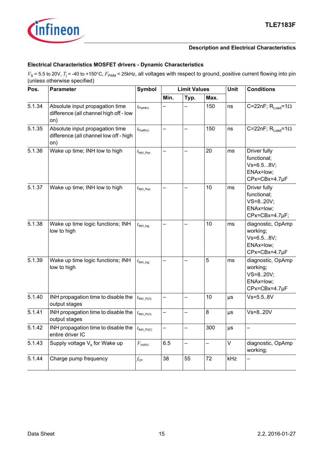

#### **Electrical Characteristics MOSFET drivers - Dynamic Characteristics**

| Pos.   | <b>Parameter</b>                                                                 | <b>Symbol</b>             |      | <b>Limit Values</b> |      |         | <b>Conditions</b>                                                        |
|--------|----------------------------------------------------------------------------------|---------------------------|------|---------------------|------|---------|--------------------------------------------------------------------------|
|        |                                                                                  |                           | Min. | Typ.                | Max. |         |                                                                          |
| 5.1.34 | Absolute input propagation time<br>difference (all channel high off - low<br>on) | $t_{\text{P(ahfin)}}$     |      |                     | 150  | ns      | C=22nF; $R_{load}$ =1 $\Omega$                                           |
| 5.1.35 | Absolute input propagation time<br>difference (all channel low off - high<br>on) | $t_{\text{P(alfhn)}}$     |      |                     | 150  | ns      | C=22nF; $R_{Load}$ =1 $\Omega$                                           |
| 5.1.36 | Wake up time; INH low to high                                                    | $t_{\text{INH\_Pen}}$     |      |                     | 20   | ms      | Driver fully<br>functional;<br>Vs=6.58V;<br>ENAx=low;<br>CPx=CBx=4.7µF   |
| 5.1.37 | Wake up time; INH low to high                                                    | $t_{\text{INH\_Pen}}$     |      |                     | 10   | ms      | Driver fully<br>functional;<br>VS=820V;<br>ENAx=low;<br>CPx=CBx=4.7µF;   |
| 5.1.38 | Wake up time logic functions; INH<br>low to high                                 | $t_{\mathsf{INH\_log}}$   |      |                     | 10   | ms      | diagnostic, OpAmp<br>working;<br>Vs=6.58V;<br>ENAx=low;<br>CPx=CBx=4.7µF |
| 5.1.39 | Wake up time logic functions; INH<br>low to high                                 | $t_{\mathsf{INH\_log}}$   |      |                     | 5    | ms      | diagnostic, OpAmp<br>working;<br>VS=820V;<br>ENAx=low;<br>CPx=CBx=4.7µF  |
| 5.1.40 | INH propagation time to disable the<br>output stages                             | $t_{\text{INH\_P(O)}}$    | —    |                     | 10   | $\mu s$ | $Vs = 5.5.8V$                                                            |
| 5.1.41 | INH propagation time to disable the<br>output stages                             | $t_{\mathsf{INH\_P(O)}}$  |      |                     | 8    | $\mu s$ | Vs=820V                                                                  |
| 5.1.42 | INH propagation time to disable the<br>entire driver IC                          | $t_{\mathsf{INH\_P(IC)}}$ |      |                     | 300  | $\mu s$ |                                                                          |
| 5.1.43 | Supply voltage $V_s$ for Wake up                                                 | $V_{\mathsf{VsWU}}$       | 6.5  |                     |      | V       | diagnostic, OpAmp<br>working;                                            |
| 5.1.44 | Charge pump frequency                                                            | $f_{\mathsf{CP}}$         | 38   | 55                  | 72   | kHz     |                                                                          |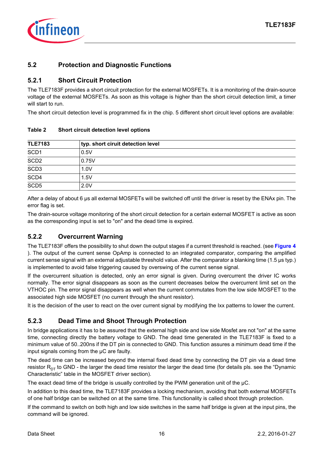

## <span id="page-15-0"></span>**5.2 Protection and Diagnostic Functions**

## <span id="page-15-5"></span><span id="page-15-1"></span>**5.2.1 Short Circuit Protection**

The TLE7183F provides a short circuit protection for the external MOSFETs. It is a monitoring of the drain-source voltage of the external MOSFETs. As soon as this voltage is higher than the short circuit detection limit, a timer will start to run.

The short circuit detection level is programmed fix in the chip. 5 different short circuit level options are available:

| <b>TLE7183</b>   | typ. short ciruit detection level |  |
|------------------|-----------------------------------|--|
| SCD <sub>1</sub> | 0.5V                              |  |
| SCD2             | 0.75V                             |  |
| SCD3             | 1.0V                              |  |
| SCD4             | 1.5V                              |  |
| SCD <sub>5</sub> | 2.0V                              |  |

#### <span id="page-15-4"></span>**Table 2 Short circuit detection level options**

After a delay of about 6 µs all external MOSFETs will be switched off until the driver is reset by the ENAx pin. The error flag is set.

The drain-source voltage monitoring of the short circuit detection for a certain external MOSFET is active as soon as the corresponding input is set to "on" and the dead time is expired.

## <span id="page-15-6"></span><span id="page-15-2"></span>**5.2.2 Overcurrent Warning**

The TLE7183F offers the possibility to shut down the output stages if a current threshold is reached. (see **[Figure 4](#page-19-1)** ). The output of the current sense OpAmp is connected to an integrated comparator, comparing the amplified current sense signal with an external adjustable threshold value. After the comparator a blanking time (1.5 µs typ.) is implemented to avoid false triggering caused by overswing of the current sense signal.

If the overcurrent situation is detected, only an error signal is given. During overcurrent the driver IC works normally. The error signal disappears as soon as the current decreases below the overcurrent limit set on the VTHOC pin. The error signal disappears as well when the current commutates from the low side MOSFET to the associated high side MOSFET (no current through the shunt resistor).

It is the decision of the user to react on the over current signal by modifying the Ixx patterns to lower the current.

## <span id="page-15-3"></span>**5.2.3 Dead Time and Shoot Through Protection**

In bridge applications it has to be assured that the external high side and low side Mosfet are not "on" at the same time, connecting directly the battery voltage to GND. The dead time generated in the TLE7183F is fixed to a minimum value of 50..200ns if the DT pin is connected to GND. This function assures a minimum dead time if the input signals coming from the µC are faulty.

The dead time can be increased beyond the internal fixed dead time by connecting the DT pin via a dead time resistor  $R_{DT}$  to GND - the larger the dead time resistor the larger the dead time (for details pls. see the "Dynamic Characteristic" table in the MOSFET driver section).

The exact dead time of the bridge is usually controlled by the PWM generation unit of the  $\mu$ C.

In addition to this dead time, the TLE7183F provides a locking mechanism, avoiding that both external MOSFETs of one half bridge can be switched on at the same time. This functionality is called shoot through protection.

If the command to switch on both high and low side switches in the same half bridge is given at the input pins, the command will be ignored.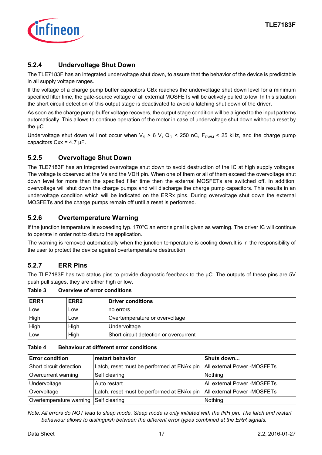

## <span id="page-16-0"></span>**5.2.4 Undervoltage Shut Down**

The TLE7183F has an integrated undervoltage shut down, to assure that the behavior of the device is predictable in all supply voltage ranges.

If the voltage of a charge pump buffer capacitors CBx reaches the undervoltage shut down level for a minimum specified filter time, the gate-source voltage of all external MOSFETs will be actively pulled to low. In this situation the short circuit detection of this output stage is deactivated to avoid a latching shut down of the driver.

As soon as the charge pump buffer voltage recovers, the output stage condition will be aligned to the input patterns automatically. This allows to continue operation of the motor in case of undervoltage shut down without a reset by the uC.

Undervoltage shut down will not occur when  $V_S > 6$  V, Q<sub>G</sub> < 250 nC, F<sub>PWM</sub> < 25 kHz, and the charge pump capacitors  $Cx = 4.7 \mu F$ .

## <span id="page-16-1"></span>**5.2.5 Overvoltage Shut Down**

The TLE7183F has an integrated overvoltage shut down to avoid destruction of the IC at high supply voltages. The voltage is observed at the Vs and the VDH pin. When one of them or all of them exceed the overvoltage shut down level for more than the specified filter time then the external MOSFETs are switched off. In addition, overvoltage will shut down the charge pumps and will discharge the charge pump capacitors. This results in an undervoltage condition which will be indicated on the ERRx pins. During overvoltage shut down the external MOSFETs and the charge pumps remain off until a reset is performed.

## <span id="page-16-2"></span>**5.2.6 Overtemperature Warning**

If the junction temperature is exceeding typ. 170°C an error signal is given as warning. The driver IC will continue to operate in order not to disturb the application.

The warning is removed automatically when the junction temperature is cooling down.It is in the responsibility of the user to protect the device against overtemperature destruction.

## <span id="page-16-3"></span>**5.2.7 ERR Pins**

The TLE7183F has two status pins to provide diagnostic feedback to the µC. The outputs of these pins are 5V push pull stages, they are either high or low.

**Table 3 Overview of error conditions**

| ERR1 | ERR <sub>2</sub> | <b>Driver conditions</b>               |
|------|------------------|----------------------------------------|
| Low  | LOW              | no errors                              |
| High | LOW              | Overtemperature or overvoltage         |
| High | High             | Undervoltage                           |
| LOW  | High             | Short circuit detection or overcurrent |

#### **Table 4 Behaviour at different error conditions**

| <b>Error condition</b>  | restart behavior                                                         | Shuts down                  |
|-------------------------|--------------------------------------------------------------------------|-----------------------------|
| Short circuit detection | Latch, reset must be performed at ENAx pin                               | All external Power -MOSFETs |
| Overcurrent warning     | Self clearing                                                            | Nothing                     |
| Undervoltage            | Auto restart                                                             | All external Power -MOSFETs |
| Overvoltage             | Latch, reset must be performed at ENAx pin   All external Power -MOSFETs |                             |
| Overtemperature warning | Self clearing                                                            | Nothing                     |

*Note: All errors do NOT lead to sleep mode. Sleep mode is only initiated with the INH pin. The latch and restart behaviour allows to distinguish between the different error types combined at the ERR signals.*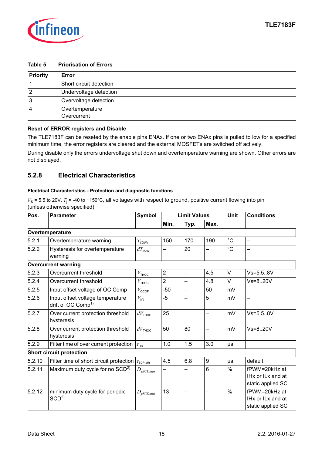

| <b>Priority</b> | Error                          |
|-----------------|--------------------------------|
|                 | Short circuit detection        |
| 2               | Undervoltage detection         |
| 3               | Overvoltage detection          |
| 4               | Overtemperature<br>Overcurrent |

#### **Table 5 Priorisation of Errors**

#### **Reset of ERROR registers and Disable**

The TLE7183F can be reseted by the enable pins ENAx. If one or two ENAx pins is pulled to low for a specified minimum time, the error registers are cleared and the external MOSFETs are switched off actively.

During disable only the errors undervoltage shut down and overtemperature warning are shown. Other errors are not displayed.

## <span id="page-17-1"></span><span id="page-17-0"></span>**5.2.8 Electrical Characteristics**

#### **Electrical Characteristics - Protection and diagnostic functions**

| Pos.   | <b>Parameter</b>                                                   | Symbol              | <b>Limit Values</b> |      |      | Unit          | <b>Conditions</b>                                       |  |
|--------|--------------------------------------------------------------------|---------------------|---------------------|------|------|---------------|---------------------------------------------------------|--|
|        |                                                                    |                     | Min.                | Typ. | Max. |               |                                                         |  |
|        | Overtemperature                                                    |                     |                     |      |      |               |                                                         |  |
| 5.2.1  | Overtemperature warning                                            | $T_{j(OW)}$         | 150                 | 170  | 190  | $^{\circ}C$   |                                                         |  |
| 5.2.2  | Hysteresis for overtemperature<br>warning                          | $dT_{\text{i(OW)}}$ | —                   | 20   |      | $^{\circ}C$   |                                                         |  |
|        | <b>Overcurrent warning</b>                                         |                     |                     |      |      |               |                                                         |  |
| 5.2.3  | Overcurrent threshold                                              | $V_{\rm THOC}$      | $\overline{2}$      | —    | 4.5  | V             | $Vs = 5.5.8V$                                           |  |
| 5.2.4  | Overcurrent threshold                                              | V <sub>THOC</sub>   | $\overline{2}$      | —    | 4.8  | V             | Vs=820V                                                 |  |
| 5.2.5  | Input offset voltage of OC Comp                                    | $V_{\text{OCOF}}$   | $-50$               | —    | 50   | mV            | —                                                       |  |
| 5.2.6  | Input offset voltage temperature<br>drift of OC Comp <sup>1)</sup> | $V_{\text{IO}}$     | $-5$                | -    | 5    | mV            | $\overline{\phantom{0}}$                                |  |
| 5.2.7  | Over current protection threshold<br>hysteresis                    | $dV_{\text{THOC}}$  | 25                  |      |      | mV            | $Vs = 5.5.8V$                                           |  |
| 5.2.8  | Over current protection threshold<br>hysteresis                    | $dV_{\text{THOC}}$  | 50                  | 80   |      | mV            | $Vs=820V$                                               |  |
| 5.2.9  | Filter time of over current protection                             | $t_{\rm OC}$        | 1.0                 | 1.5  | 3.0  | μs            |                                                         |  |
|        | <b>Short circuit protection</b>                                    |                     |                     |      |      |               |                                                         |  |
| 5.2.10 | Filter time of short circuit protection                            | $t_{\rm{SCP(off)}}$ | 4.5                 | 6.8  | 9    | μs            | default                                                 |  |
| 5.2.11 | Maximum duty cycle for no SCD <sup>2)</sup>                        | $D_{ySCDmax}$       |                     |      | 6    | $\frac{0}{0}$ | fPWM=20kHz at<br>IHx or ILx and at<br>static applied SC |  |
| 5.2.12 | minimum duty cycle for periodic<br>SCD <sup>2</sup>                | $D_{ySCDmin}$       | 13                  |      |      | %             | fPWM=20kHz at<br>IHx or ILx and at<br>static applied SC |  |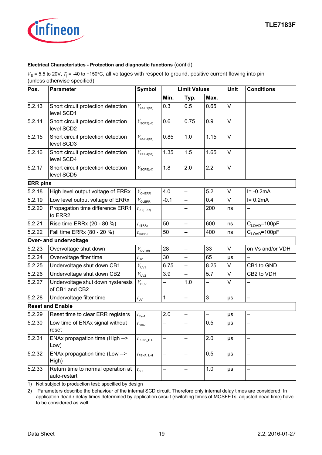

#### **Electrical Characteristics - Protection and diagnostic functions** (cont'd)

 $V_s$  = 5.5 to 20V,  $T_j$  = -40 to +150°C, all voltages with respect to ground, positive current flowing into pin (unless otherwise specified)

| Pos.            | <b>Parameter</b>                                    | <b>Symbol</b>          | <b>Limit Values</b> |                          |      | Unit    | <b>Conditions</b>         |  |  |
|-----------------|-----------------------------------------------------|------------------------|---------------------|--------------------------|------|---------|---------------------------|--|--|
|                 |                                                     |                        | Min.                | Typ.                     | Max. |         |                           |  |  |
| 5.2.13          | Short circuit protection detection<br>level SCD1    | $V_{\text{SCP1(off)}}$ | 0.3                 | 0.5                      | 0.65 | V       |                           |  |  |
| 5.2.14          | Short circuit protection detection<br>level SCD2    | $V_{\rm SCP2 (off)}$   | 0.6                 | 0.75                     | 0.9  | V       |                           |  |  |
| 5.2.15          | Short circuit protection detection<br>level SCD3    | $V_{\text{SCP3(off)}}$ | 0.85                | 1.0                      | 1.15 | V       |                           |  |  |
| 5.2.16          | Short circuit protection detection<br>level SCD4    | $V_{\text{SCP4(off)}}$ | 1.35                | 1.5                      | 1.65 | V       |                           |  |  |
| 5.2.17          | Short circuit protection detection<br>level SCD5    | $V_{\text{SCP5(off)}}$ | 1.8                 | 2.0                      | 2.2  | V       |                           |  |  |
| <b>ERR</b> pins |                                                     |                        |                     |                          |      |         |                           |  |  |
| 5.2.18          | High level output voltage of ERRx                   | $V_{\rm OHERR}$        | 4.0                 | $\overline{\phantom{0}}$ | 5.2  | V       | $I = -0.2mA$              |  |  |
| 5.2.19          | Low level output voltage of ERRx                    | $V_{\rm OLERR}$        | $-0.1$              | —                        | 0.4  | V       | $I = 0.2mA$               |  |  |
| 5.2.20          | Propagation time difference ERR1<br>to ERR2         | $t_{\text{PD(ERR)}}$   |                     |                          | 200  | ns      |                           |  |  |
| 5.2.21          | Rise time ERRx (20 - 80 %)                          | $t_{\rm r(ERR)}$       | 50                  | $\overline{\phantom{0}}$ | 600  | ns      | $C_{\text{LOAD}} = 100pF$ |  |  |
| 5.2.22          | Fall time ERRx (80 - 20 %)                          | $t_{\text{f(ERR)}}$    | 50                  | —                        | 400  | ns      | $C_{\text{LOAD}} = 100pF$ |  |  |
|                 | Over- and undervoltage                              |                        |                     |                          |      |         |                           |  |  |
| 5.2.23          | Overvoltage shut down                               | $V_{\text{OV(Off)}}$   | 28                  | $\overline{\phantom{0}}$ | 33   | V       | on Vs and/or VDH          |  |  |
| 5.2.24          | Overvoltage filter time                             | $t_{\rm OV}$           | 30                  |                          | 65   | μs      |                           |  |  |
| 5.2.25          | Undervoltage shut down CB1                          | $V_{UV1}$              | 6.75                | —                        | 8.25 | V       | CB1 to GND                |  |  |
| 5.2.26          | Undervoltage shut down CB2                          | $V_{UV2}$              | 3.9                 |                          | 5.7  | V       | CB2 to VDH                |  |  |
| 5.2.27          | Undervoltage shut down hysteresis<br>of CB1 and CB2 | $V_{\text{DUV}}$       |                     | 1.0                      |      | V       |                           |  |  |
| 5.2.28          | Undervoltage filter time                            | $t_{\text{UV}}$        | 1                   | —                        | 3    | $\mu s$ | —                         |  |  |
|                 | <b>Reset and Enable</b>                             |                        |                     |                          |      |         |                           |  |  |
| 5.2.29          | Reset time to clear ERR registers                   | $t_{\sf Res1}$         | 2.0                 | -                        | —    | $\mu s$ |                           |  |  |
| 5.2.30          | Low time of ENAx signal without<br>reset            | $t_{\sf Res0}$         |                     |                          | 0.5  | $\mu s$ |                           |  |  |
| 5.2.31          | ENAx propagation time (High --><br>Low)             | $t_{\sf PENA_H-L}$     |                     |                          | 2.0  | μs      |                           |  |  |
| 5.2.32          | ENAx propagation time (Low --><br>High)             | $t_{\sf PENA\_L-H}$    | <sup>-</sup>        |                          | 0.5  | $\mu s$ |                           |  |  |
| 5.2.33          | Return time to normal operation at<br>auto-restart  | $t_{\sf AR}$           |                     |                          | 1.0  | $\mu s$ |                           |  |  |

1) Not subject to production test; specified by design

<span id="page-18-0"></span>2) Parameters describe the behaviour of the internal SCD circuit. Therefore only internal delay times are considered. In application dead-/ delay times determined by application circuit (switching times of MOSFETs, adjusted dead time) have to be considered as well.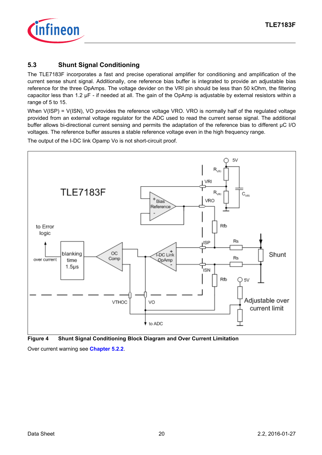

## <span id="page-19-0"></span>**5.3 Shunt Signal Conditioning**

The TLE7183F incorporates a fast and precise operational amplifier for conditioning and amplification of the current sense shunt signal. Additionally, one reference bias buffer is integrated to provide an adjustable bias reference for the three OpAmps. The voltage devider on the VRI pin should be less than 50 kOhm, the filtering capacitor less than 1.2 µF - if needed at all. The gain of the OpAmp is adjustable by external resistors within a range of 5 to 15.

When V(ISP) = V(ISN), VO provides the reference voltage VRO. VRO is normally half of the regulated voltage provided from an external voltage regulator for the ADC used to read the current sense signal. The additional buffer allows bi-directional current sensing and permits the adaptation of the reference bias to different µC I/O voltages. The reference buffer assures a stable reference voltage even in the high frequency range.

The output of the I-DC link Opamp Vo is not short-circuit proof.



<span id="page-19-1"></span>**Figure 4 Shunt Signal Conditioning Block Diagram and Over Current Limitation**

Over current warning see **[Chapter 5.2.2](#page-15-6)**.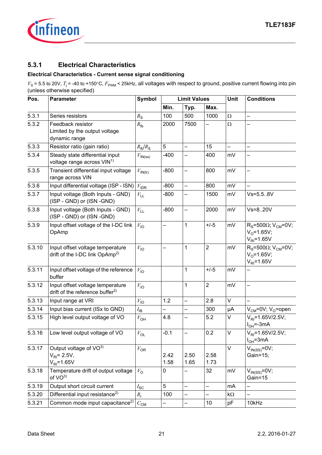

## <span id="page-20-0"></span>**5.3.1 Electrical Characteristics**

## **Electrical Characteristics - Current sense signal conditioning**

<span id="page-20-4"></span><span id="page-20-3"></span><span id="page-20-2"></span><span id="page-20-1"></span>

| Pos.   | <b>Parameter</b>                                                                | <b>Symbol</b>                | <b>Limit Values</b> |                          |                  | Unit                     | <b>Conditions</b>                                                                       |  |  |
|--------|---------------------------------------------------------------------------------|------------------------------|---------------------|--------------------------|------------------|--------------------------|-----------------------------------------------------------------------------------------|--|--|
|        |                                                                                 |                              | Min.                | Typ.                     | Max.             |                          |                                                                                         |  |  |
| 5.3.1  | Series resistors                                                                | $R_{\rm S}$                  | 100                 | 500                      | 1000             | Ω                        |                                                                                         |  |  |
| 5.3.2  | Feedback resistor<br>Limited by the output voltage<br>dynamic range             | $R_{\text{fb}}$              | 2000                | 7500                     | —                | $\Omega$                 |                                                                                         |  |  |
| 5.3.3  | Resistor ratio (gain ratio)                                                     | $R_{\text{fb}}/R_{\text{S}}$ | 5                   | $\overline{\phantom{0}}$ | 15               | $\overline{\phantom{0}}$ | $\equiv$                                                                                |  |  |
| 5.3.4  | Steady state differential input<br>voltage range across VIN <sup>1)</sup>       | $V_{\textsf{IN}(ss)}$        | $-400$              |                          | 400              | mV                       |                                                                                         |  |  |
| 5.3.5  | Transient differential input voltage<br>range across VIN                        | $V_{\text{IN(tr)}}$          | $-800$              | $\overline{\phantom{0}}$ | 800              | mV                       | $\overline{\phantom{0}}$                                                                |  |  |
| 5.3.6  | Input differential voltage (ISP - ISN)                                          | $V_{\mathsf{IDR}}$           | $-800$              | $\overline{a}$           | 800              | mV                       |                                                                                         |  |  |
| 5.3.7  | Input voltage (Both Inputs - GND)<br>(ISP - GND) or (ISN -GND)                  | $V_{\rm LL}$                 | $-800$              |                          | 1500             | mV                       | Vs=5.58V                                                                                |  |  |
| 5.3.8  | Input voltage (Both Inputs - GND)<br>(ISP - GND) or (ISN -GND)                  | $V_{\mathsf{LL}}$            | $-800$              | -                        | 2000             | mV                       | Vs=820V                                                                                 |  |  |
| 5.3.9  | Input offset voltage of the I-DC link<br>OpAmp                                  | $V_{\text{IO}}$              |                     | 1                        | $+/-5$           | mV                       | $R_s$ =500 $\Omega$ ; V <sub>CM</sub> =0V;<br>$V_0 = 1.65V;$<br>$V_{\text{RI}}$ =1.65V  |  |  |
| 5.3.10 | Input offset voltage temperature<br>drift of the I-DC link OpAmp <sup>2)</sup>  | $V_{\text{IO}}$              |                     | 1                        | $\boldsymbol{2}$ | mV                       | $R_s$ =500 $\Omega$ ; V <sub>CM</sub> =0V;<br>$V_0 = 1.65V;$<br>$V_{\text{RI}} = 1.65V$ |  |  |
| 5.3.11 | Input offset voltage of the reference<br>buffer                                 | $V_{\text{IO}}$              |                     | 1                        | $+/-5$           | mV                       | $\overline{\phantom{0}}$                                                                |  |  |
| 5.3.12 | Input offset voltage temperature<br>drift of the reference buffer <sup>2)</sup> | $V_{\text{IO}}$              |                     | 1                        | $\overline{2}$   | mV                       |                                                                                         |  |  |
| 5.3.13 | Input range at VRI                                                              | $V_{\text{IO}}$              | 1.2                 | $\overline{a}$           | 2.8              | $\vee$                   |                                                                                         |  |  |
| 5.3.14 | Input bias current (ISx to GND)                                                 | $I_{\sf IB}$                 |                     | $\overline{\phantom{0}}$ | 300              | μA                       | $V_{CM}$ =0V; V <sub>o</sub> =open                                                      |  |  |
| 5.3.15 | High level output voltage of VO                                                 | $V_{\text{OH}}$              | 4.8                 |                          | 5.2              | V                        | $V_{\text{RI}}$ =1.65V/2.5V;<br>$I_{OH} = -3mA$                                         |  |  |
| 5.3.16 | Low level output voltage of VO                                                  | $V_{\text{OL}}$              | $-0.1$              |                          | 0.2              | V                        | $V_{\text{RI}} = 1.65 \text{V} / 2.5 \text{V}$ ;<br>$I_{OH} = 3mA$                      |  |  |
| 5.3.17 | Output voltage of VO3)<br>$V_{\text{RI}}$ = 2.5V,<br>$V_{\text{RI}}$ =1.65V     | $V_{OR}$                     | 2.42<br>1.58        | 2.50<br>1.65             | 2.58<br>1.73     | $\vee$                   | $V_{IN(SS)} = 0V;$<br>Gain=15;                                                          |  |  |
| 5.3.18 | Temperature drift of output voltage<br>of $VO^{3)}$                             | $V_{\rm O}$                  | 0                   |                          | 32               | mV                       | $V_{IN(SS)} = 0V;$<br>Gain=15                                                           |  |  |
| 5.3.19 | Output short circuit current                                                    | $I_{\rm SC}$                 | 5                   | $\overline{\phantom{0}}$ | -                | mA                       |                                                                                         |  |  |
| 5.3.20 | Differential input resistance <sup>2)</sup>                                     | $R_{\rm I}$                  | 100                 |                          |                  | $k\Omega$                |                                                                                         |  |  |
| 5.3.21 | Common mode input capacitance <sup>2)</sup>                                     | $C_{\sf CM}$                 |                     | 10kHz<br>10<br>рF<br>-   |                  |                          |                                                                                         |  |  |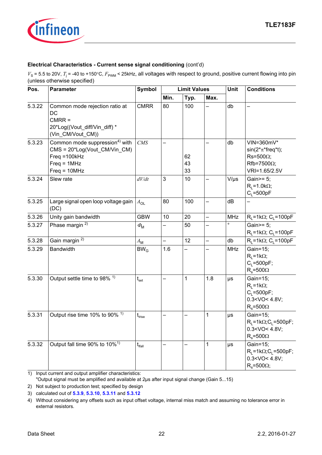

## **Electrical Characteristics - Current sense signal conditioning** (cont'd)

 $V_s$  = 5.5 to 20V,  $T_j$  = -40 to +150°C,  $F_{\text{PWM}}$  < 25kHz, all voltages with respect to ground, positive current flowing into pin (unless otherwise specified)

| Pos.   | <b>Parameter</b>                                                                                                                 | <b>Symbol</b>                                  | <b>Limit Values</b>      |                |              | Unit       | <b>Conditions</b>                                                                                     |
|--------|----------------------------------------------------------------------------------------------------------------------------------|------------------------------------------------|--------------------------|----------------|--------------|------------|-------------------------------------------------------------------------------------------------------|
|        |                                                                                                                                  |                                                | Min.                     | Typ.           | Max.         |            |                                                                                                       |
| 5.3.22 | Common mode rejection ratio at<br>DC<br>$CMRR =$<br>20*Log((Vout_diff/Vin_diff) *<br>(Vin_CM/Vout_CM))                           | <b>CMRR</b>                                    | 80                       | 100            |              | db         |                                                                                                       |
| 5.3.23 | Common mode suppression <sup>4)</sup> with<br>CMS = 20*Log(Vout_CM/Vin_CM)<br>$Freq = 100kHz$<br>$Freq = 1MHz$<br>$Freq = 10MHz$ | CMS                                            |                          | 62<br>43<br>33 |              | db         | VIN=360mV*<br>$sin(2*π*freq*t);$<br>$Rs = 500\Omega$ ;<br>$Rfb = 7500\Omega$ ;<br>VRI=1.65/2.5V       |
| 5.3.24 | Slew rate                                                                                                                        | dV/dt                                          | 3                        | 10             |              | $V/\mu s$  | Gain>= 5;<br>$R_1 = 1.0 k\Omega$ ;<br>$C_1 = 500pF$                                                   |
| 5.3.25 | Large signal open loop voltage gain<br>(DC)                                                                                      | $A_{OL}$                                       | 80                       | 100            | -            | dB         |                                                                                                       |
| 5.3.26 | Unity gain bandwidth                                                                                                             | <b>GBW</b>                                     | 10                       | 20             | <sup>-</sup> | <b>MHz</b> | $R_1 = 1k\Omega$ ; C <sub>1</sub> =100pF                                                              |
| 5.3.27 | Phase margin <sup>2)</sup>                                                                                                       | $\phi_{\rm M}$                                 | $\overline{\phantom{0}}$ | 50             | —            | $\circ$    | Gain $>=$ 5;<br>$R_1 = 1k\Omega$ ; C <sub>1</sub> =100pF                                              |
| 5.3.28 | Gain margin <sup>2)</sup>                                                                                                        | $A_{\mathsf{M}}$                               | $\overline{\phantom{0}}$ | 12             |              | db         | $R_1 = 1k\Omega$ ; C <sub>1</sub> = 100pF                                                             |
| 5.3.29 | <b>Bandwidth</b>                                                                                                                 | BW <sub>G</sub>                                | 1.6                      |                |              | <b>MHz</b> | Gain=15;<br>$R_1 = 1k\Omega$ ;<br>$C_1 = 500pF;$<br>$R_s = 500\Omega$                                 |
| 5.3.30 | Output settle time to 98% <sup>1)</sup>                                                                                          | $t_{\rm set}$                                  |                          | 1              | 1.8          | $\mu s$    | Gain=15;<br>$R_1 = 1k\Omega$ ;<br>$C_1 = 500pF;$<br>$0.3 <$ VO < 4.8V;<br>$R_s = 500\Omega$           |
| 5.3.31 | Output rise time 10% to 90% <sup>1)</sup>                                                                                        | $\mathfrak{t}_{\scriptscriptstyle \sf{Irise}}$ |                          |                | 1            | μs         | Gain=15:<br>$R_1 = 1k\Omega$ ; C <sub>1</sub> = 500pF;<br>$0.3 <$ VO $<$ 4.8V;<br>$R_s = 500\Omega$   |
| 5.3.32 | Output fall time 90% to 10% <sup>1)</sup>                                                                                        | $t_{\text{lfall}}$                             |                          |                | 1            | $\mu s$    | Gain=15;<br>$R_1 = 1k\Omega$ ; C <sub>1</sub> = 500pF;<br>$0.3 <$ VO $<$ 4.8V;<br>$R_s = 500\Omega$ ; |

<span id="page-21-2"></span>1) Input current and output amplifier characteristics:

"Output signal must be amplified and available at 2µs after input signal change (Gain 5...15)

<span id="page-21-0"></span>2) Not subject to production test; specified by design

<span id="page-21-1"></span>3) calculated out of **[5.3.9](#page-20-1)**, **[5.3.10](#page-20-2)**, **[5.3.11](#page-20-3)** and **[5.3.12](#page-20-4)**

<sup>4)</sup> Without considering any offsets such as input offset voltage, internal miss match and assuming no tolerance error in external resistors.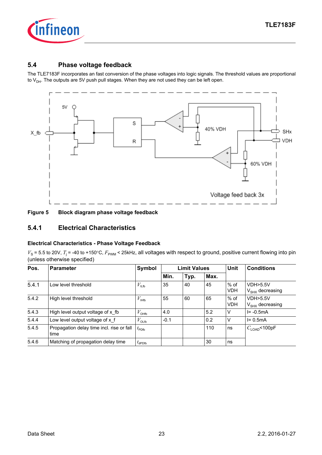

## <span id="page-22-0"></span>**5.4 Phase voltage feedback**

The TLE7183F incorporates an fast conversion of the phase voltages into logic signals. The threshold values are proportional to  $V_{DH}$ . The outputs are 5V push pull stages. When they are not used they can be left open.





### <span id="page-22-1"></span>**5.4.1 Electrical Characteristics**

#### **Electrical Characteristics - Phase Voltage Feedback**

| Pos.  | <b>Parameter</b>                                  | Symbol                          |        | <b>Limit Values</b> |      | <b>Unit</b>          | <b>Conditions</b>                          |
|-------|---------------------------------------------------|---------------------------------|--------|---------------------|------|----------------------|--------------------------------------------|
|       |                                                   |                                 | Min.   | Typ.                | Max. |                      |                                            |
| 5.4.1 | Low level threshold                               | $V_{\text{ILfb}}$               | 35     | 40                  | 45   | $%$ of<br><b>VDH</b> | <b>VDH&gt;5.5V</b><br>$V_{SHX}$ decreasing |
| 5.4.2 | High level threshold                              | $V_{\text{Hfb}}$                | 55     | 60                  | 65   | $%$ of<br><b>VDH</b> | VDH > 5.5V<br>$V_{SHX}$ decreasing         |
| 5.4.3 | High level output voltage of x fb                 | $V_{\text{OHfb}}$               | 4.0    |                     | 5.2  | $\vee$               | $I = -0.5mA$                               |
| 5.4.4 | Low level output voltage of x f                   | $V_{\text{OLfb}}$               | $-0.1$ |                     | 0.2  | $\vee$               | $I = 0.5mA$                                |
| 5.4.5 | Propagation delay time incl. rise or fall<br>time | $t_{\text{PDFb}}$               |        |                     | 110  | ns                   | $C_{\text{LOAD}}$ <100pF                   |
| 5.4.6 | Matching of propagation delay time                | $t_{\scriptsize{\text{dPDFb}}}$ |        |                     | 30   | ns                   |                                            |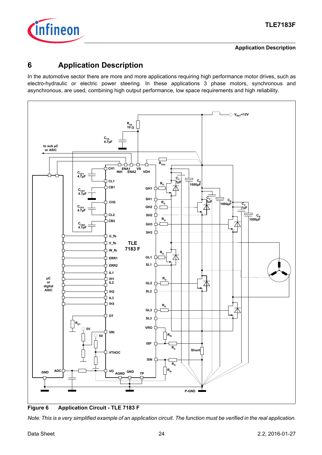

#### **Application Description**

## <span id="page-23-0"></span>**6 Application Description**

In the automotive sector there are more and more applications requiring high performance motor drives, such as electro-hydraulic or electric power steering. In these applications 3 phase motors, synchronous and asynchronous, are used, combining high output performance, low space requirements and high reliability.



**Figure 6 Application Circuit - TLE 7183 F**

*Note: This is a very simplified example of an application circuit. The function must be verified in the real application.*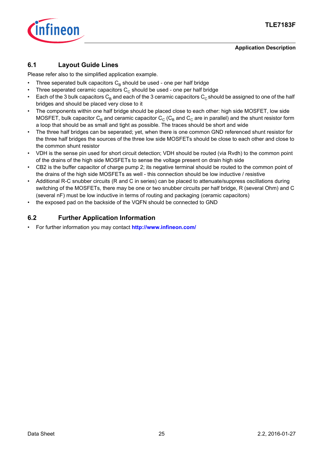

## **Application Description**

## <span id="page-24-0"></span>**6.1 Layout Guide Lines**

Please refer also to the simplified application example.

- Three seperated bulk capacitors  $C_B$  should be used one per half bridge
- Three seperated ceramic capacitors  $C_c$  should be used one per half bridge
- Each of the 3 bulk capacitors  $C_B$  and each of the 3 ceramic capacitors  $C_C$  should be assigned to one of the half bridges and should be placed very close to it
- The components within one half bridge should be placed close to each other: high side MOSFET, low side MOSFET, bulk capacitor  $C_B$  and ceramic capacitor  $C_C$  ( $C_B$  and  $C_C$  are in parallel) and the shunt resistor form a loop that should be as small and tight as possible. The traces should be short and wide
- The three half bridges can be seperated; yet, when there is one common GND referenced shunt resistor for the three half bridges the sources of the three low side MOSFETs should be close to each other and close to the common shunt resistor
- VDH is the sense pin used for short circuit detection; VDH should be routed (via Rvdh) to the common point of the drains of the high side MOSFETs to sense the voltage present on drain high side
- CB2 is the buffer capacitor of charge pump 2; its negative terminal should be routed to the common point of the drains of the high side MOSFETs as well - this connection should be low inductive / resistive
- Additional R-C snubber circuits (R and C in series) can be placed to attenuate/suppress oscillations during switching of the MOSFETs, there may be one or two snubber circuits per half bridge, R (several Ohm) and C (several nF) must be low inductive in terms of routing and packaging (ceramic capacitors)
- the exposed pad on the backside of the VQFN should be connected to GND

## <span id="page-24-1"></span>**6.2 Further Application Information**

• For further information you may contact **<http://www.infineon.com/>**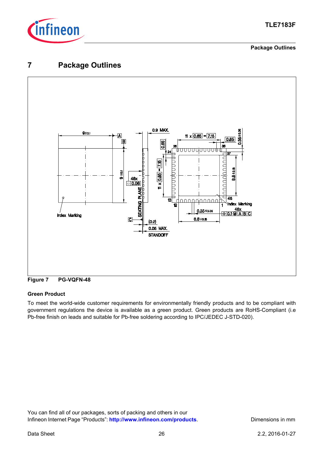

#### **Package Outlines**

## <span id="page-25-0"></span>**7 Package Outlines**



**Figure 7 PG-VQFN-48**

### **Green Product**

To meet the world-wide customer requirements for environmentally friendly products and to be compliant with government regulations the device is available as a green product. Green products are RoHS-Compliant (i.e Pb-free finish on leads and suitable for Pb-free soldering according to IPC/JEDEC J-STD-020).

You can find all of our packages, sorts of packing and others in our Infineon Internet Page "Products": [http://www.infineon.com/products](http://www.infineon.com/products/). Dimensions in mm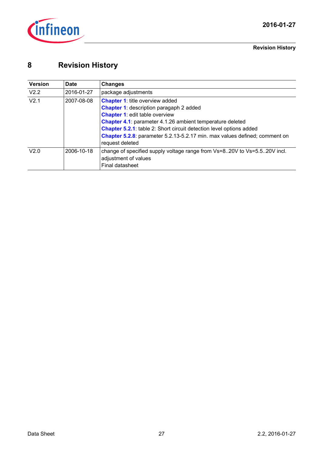

# <span id="page-26-0"></span>**8 Revision History**

| <b>Version</b>   | Date       | Changes                                                                                                                                                                                                                                                                                                                                                                              |
|------------------|------------|--------------------------------------------------------------------------------------------------------------------------------------------------------------------------------------------------------------------------------------------------------------------------------------------------------------------------------------------------------------------------------------|
| V2.2             | 2016-01-27 | package adjustments                                                                                                                                                                                                                                                                                                                                                                  |
| V <sub>2.1</sub> | 2007-08-08 | <b>Chapter 1: title overview added</b><br><b>Chapter 1:</b> description paragaph 2 added<br><b>Chapter 1: edit table overview</b><br><b>Chapter 4.1:</b> parameter 4.1.26 ambient temperature deleted<br><b>Chapter 5.2.1:</b> table 2: Short circuit detection level options added<br>Chapter 5.2.8: parameter 5.2.13-5.2.17 min. max values defined; comment on<br>request deleted |
| V2.0             | 2006-10-18 | change of specified supply voltage range from Vs=820V to Vs=5.520V incl.<br>adjustment of values<br>Final datasheet                                                                                                                                                                                                                                                                  |